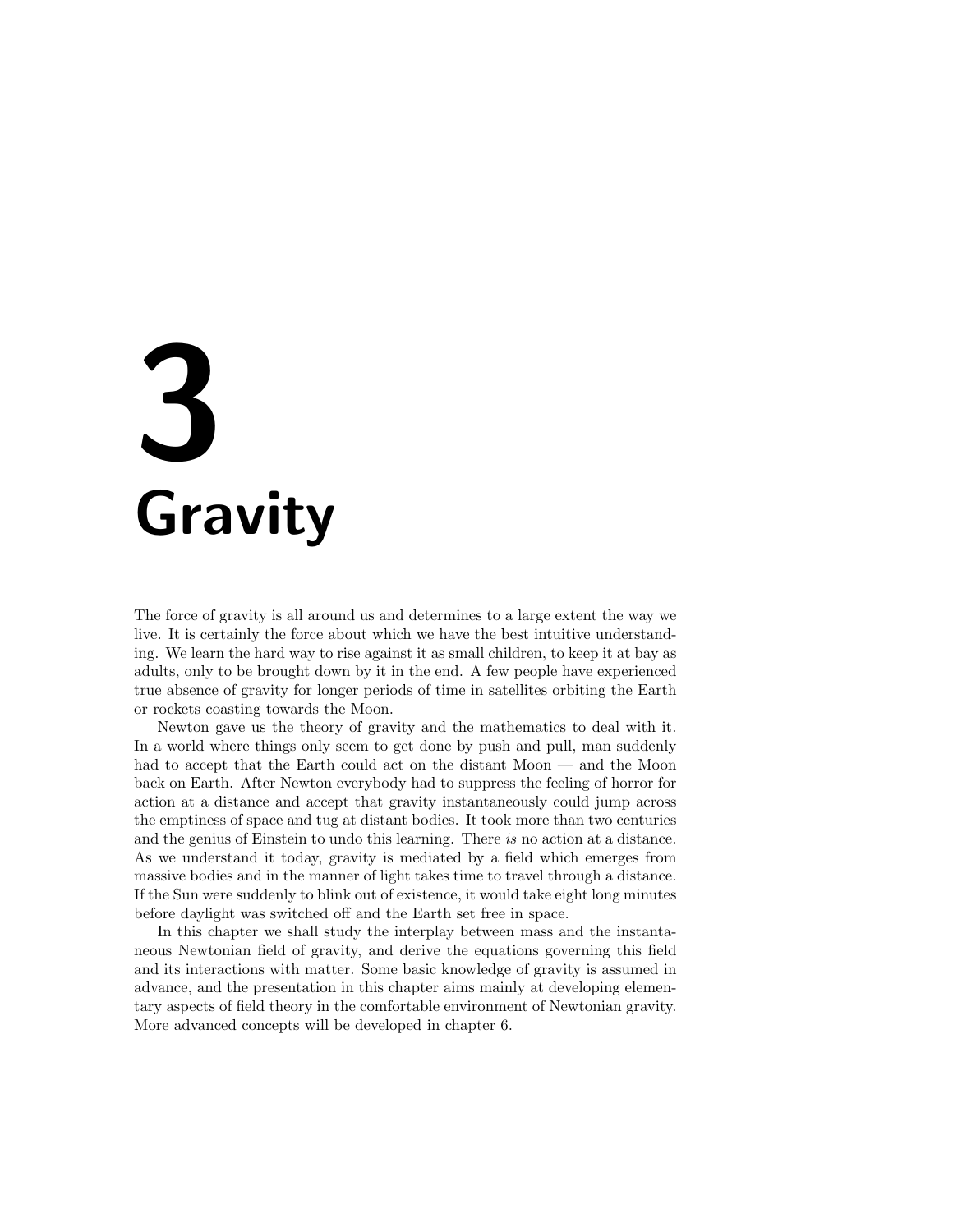# 3 Gravity

The force of gravity is all around us and determines to a large extent the way we live. It is certainly the force about which we have the best intuitive understanding. We learn the hard way to rise against it as small children, to keep it at bay as adults, only to be brought down by it in the end. A few people have experienced true absence of gravity for longer periods of time in satellites orbiting the Earth or rockets coasting towards the Moon.

Newton gave us the theory of gravity and the mathematics to deal with it. In a world where things only seem to get done by push and pull, man suddenly had to accept that the Earth could act on the distant Moon — and the Moon back on Earth. After Newton everybody had to suppress the feeling of horror for action at a distance and accept that gravity instantaneously could jump across the emptiness of space and tug at distant bodies. It took more than two centuries and the genius of Einstein to undo this learning. There is no action at a distance. As we understand it today, gravity is mediated by a field which emerges from massive bodies and in the manner of light takes time to travel through a distance. If the Sun were suddenly to blink out of existence, it would take eight long minutes before daylight was switched off and the Earth set free in space.

In this chapter we shall study the interplay between mass and the instantaneous Newtonian field of gravity, and derive the equations governing this field and its interactions with matter. Some basic knowledge of gravity is assumed in advance, and the presentation in this chapter aims mainly at developing elementary aspects of field theory in the comfortable environment of Newtonian gravity. More advanced concepts will be developed in chapter 6.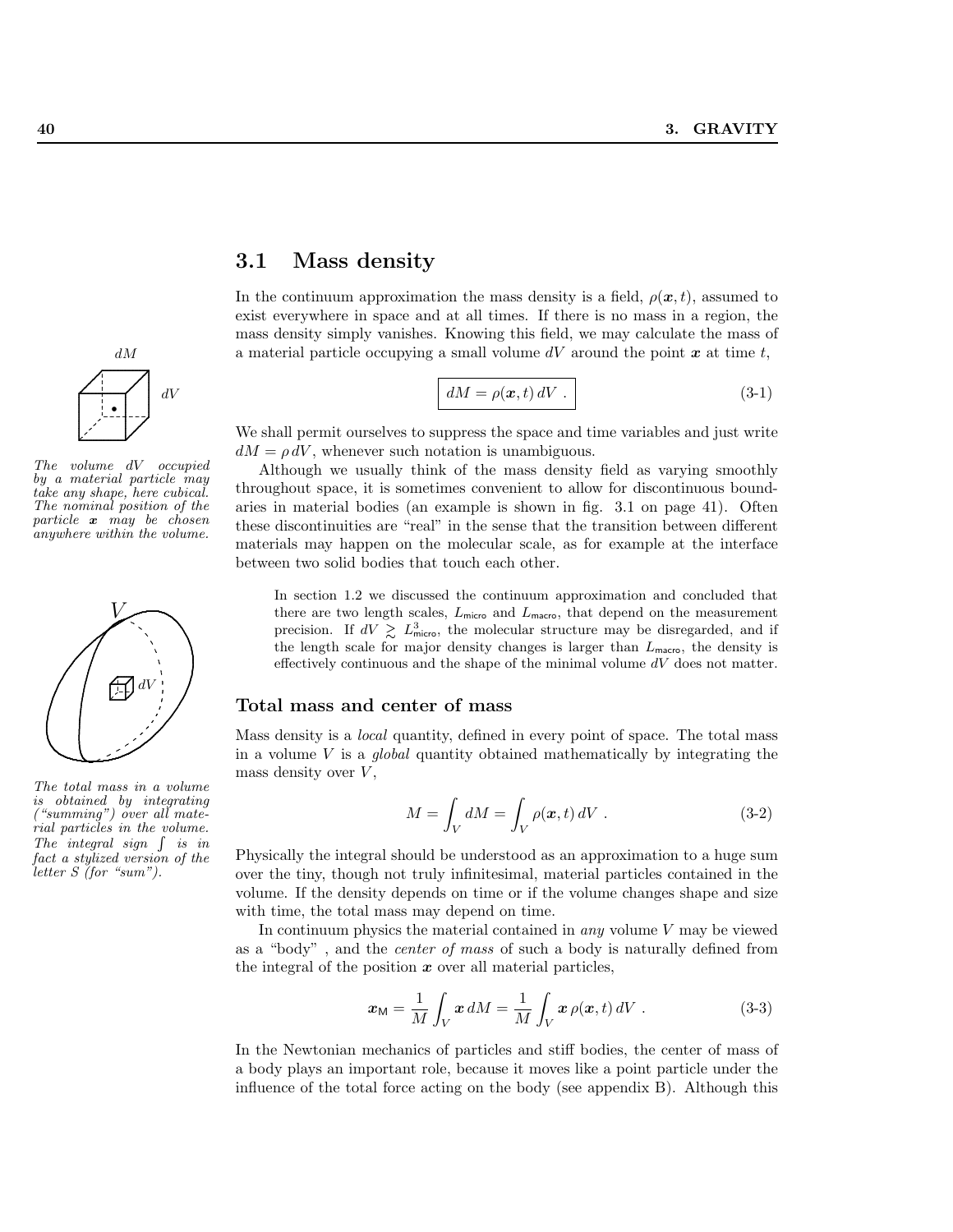#### .  $\overbrace{\phantom{aaaa}}$ .............................................. ............................................. . . . . . . . . . . . . . . . ............................. dV dM r

The volume dV occupied by a material particle may take any shape, here cubical. The nominal position of the particle x may be chosen anywhere within the volume.



The total mass in a volume is obtained by integrating ("summing") over all material particles in the volume. The integral sign  $\int$  is in fact a stylized version of the letter S (for "sum").

# 3.1 Mass density

In the continuum approximation the mass density is a field,  $\rho(\boldsymbol{x},t)$ , assumed to exist everywhere in space and at all times. If there is no mass in a region, the mass density simply vanishes. Knowing this field, we may calculate the mass of a material particle occupying a small volume  $dV$  around the point x at time t,

$$
dM = \rho(\mathbf{x}, t) dV . \qquad (3-1)
$$

We shall permit ourselves to suppress the space and time variables and just write  $dM = \rho dV$ , whenever such notation is unambiguous.

Although we usually think of the mass density field as varying smoothly throughout space, it is sometimes convenient to allow for discontinuous boundaries in material bodies (an example is shown in fig. 3.1 on page 41). Often these discontinuities are "real" in the sense that the transition between different materials may happen on the molecular scale, as for example at the interface between two solid bodies that touch each other.

In section 1.2 we discussed the continuum approximation and concluded that there are two length scales,  $L_{micro}$  and  $L_{macro}$ , that depend on the measurement precision. If  $dV \geq L_{\text{micro}}^3$ , the molecular structure may be disregarded, and if the length scale for major density changes is larger than  $L_{\text{macro}}$ , the density is effectively continuous and the shape of the minimal volume  $dV$  does not matter.

#### Total mass and center of mass

Mass density is a local quantity, defined in every point of space. The total mass in a volume  $V$  is a *global* quantity obtained mathematically by integrating the mass density over  $V$ ,

$$
M = \int_{V} dM = \int_{V} \rho(\mathbf{x}, t) dV . \qquad (3-2)
$$

Physically the integral should be understood as an approximation to a huge sum over the tiny, though not truly infinitesimal, material particles contained in the volume. If the density depends on time or if the volume changes shape and size with time, the total mass may depend on time.

In continuum physics the material contained in *any* volume  $V$  may be viewed as a "body" , and the center of mass of such a body is naturally defined from the integral of the position  $x$  over all material particles,

$$
\boldsymbol{x}_{\mathsf{M}} = \frac{1}{M} \int_{V} \boldsymbol{x} \, dM = \frac{1}{M} \int_{V} \boldsymbol{x} \, \rho(\boldsymbol{x}, t) \, dV \,. \tag{3-3}
$$

In the Newtonian mechanics of particles and stiff bodies, the center of mass of a body plays an important role, because it moves like a point particle under the influence of the total force acting on the body (see appendix B). Although this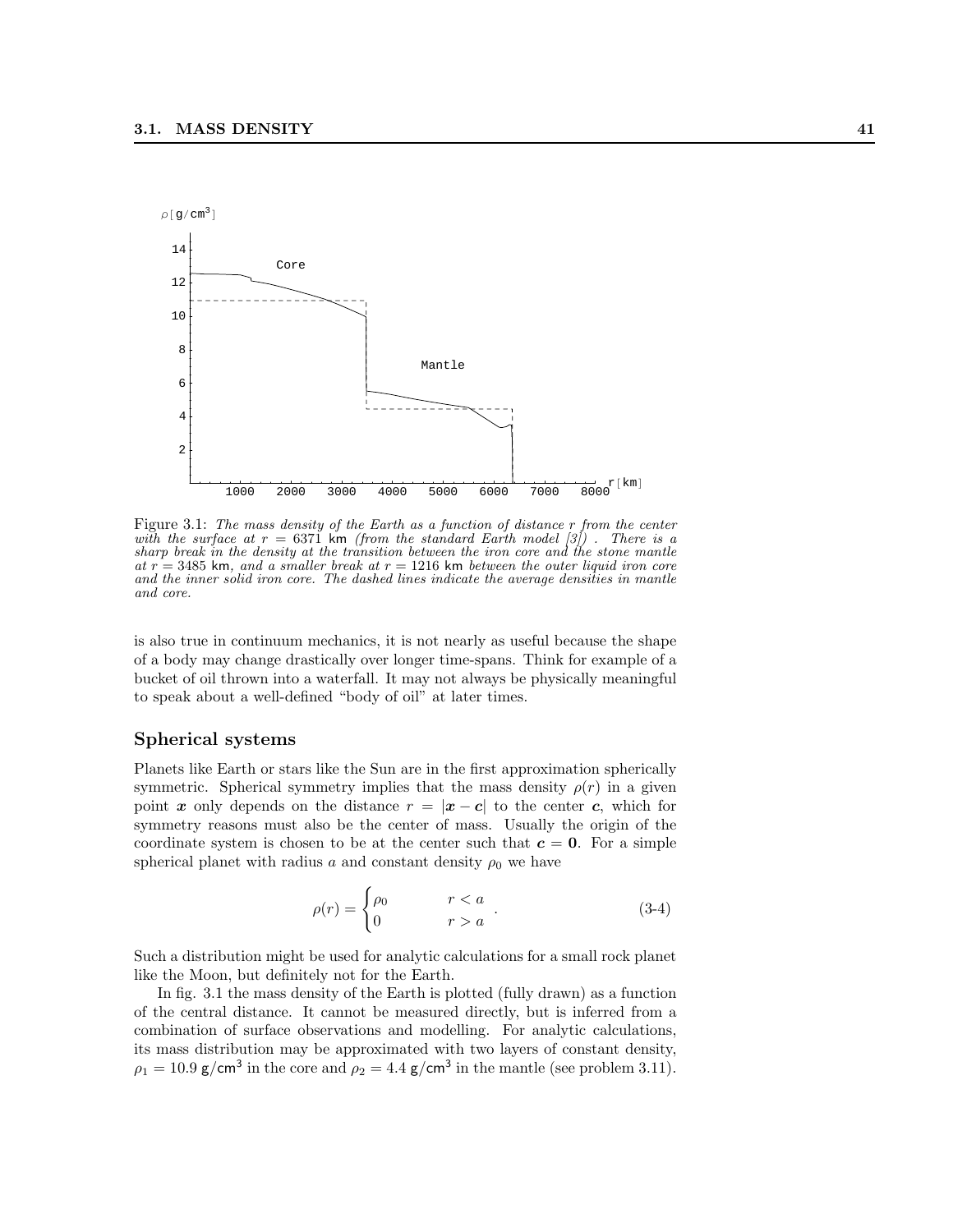

Figure 3.1: The mass density of the Earth as a function of distance r from the center with the surface at  $r = 6371$  km (from the standard Earth model [3]). There is a sharp break in the density at the transition between the iron core and the stone mantle at  $r = 3485$  km, and a smaller break at  $r = 1216$  km between the outer liquid iron core and the inner solid iron core. The dashed lines indicate the average densities in mantle and core.

is also true in continuum mechanics, it is not nearly as useful because the shape of a body may change drastically over longer time-spans. Think for example of a bucket of oil thrown into a waterfall. It may not always be physically meaningful to speak about a well-defined "body of oil" at later times.

#### Spherical systems

Planets like Earth or stars like the Sun are in the first approximation spherically symmetric. Spherical symmetry implies that the mass density  $\rho(r)$  in a given point x only depends on the distance  $r = |x - c|$  to the center c, which for symmetry reasons must also be the center of mass. Usually the origin of the coordinate system is chosen to be at the center such that  $c = 0$ . For a simple spherical planet with radius a and constant density  $\rho_0$  we have

$$
\rho(r) = \begin{cases} \rho_0 & r < a \\ 0 & r > a \end{cases} . \tag{3-4}
$$

Such a distribution might be used for analytic calculations for a small rock planet like the Moon, but definitely not for the Earth.

In fig. 3.1 the mass density of the Earth is plotted (fully drawn) as a function of the central distance. It cannot be measured directly, but is inferred from a combination of surface observations and modelling. For analytic calculations, its mass distribution may be approximated with two layers of constant density,  $\rho_1 = 10.9 \text{ g/cm}^3$  in the core and  $\rho_2 = 4.4 \text{ g/cm}^3$  in the mantle (see problem 3.11).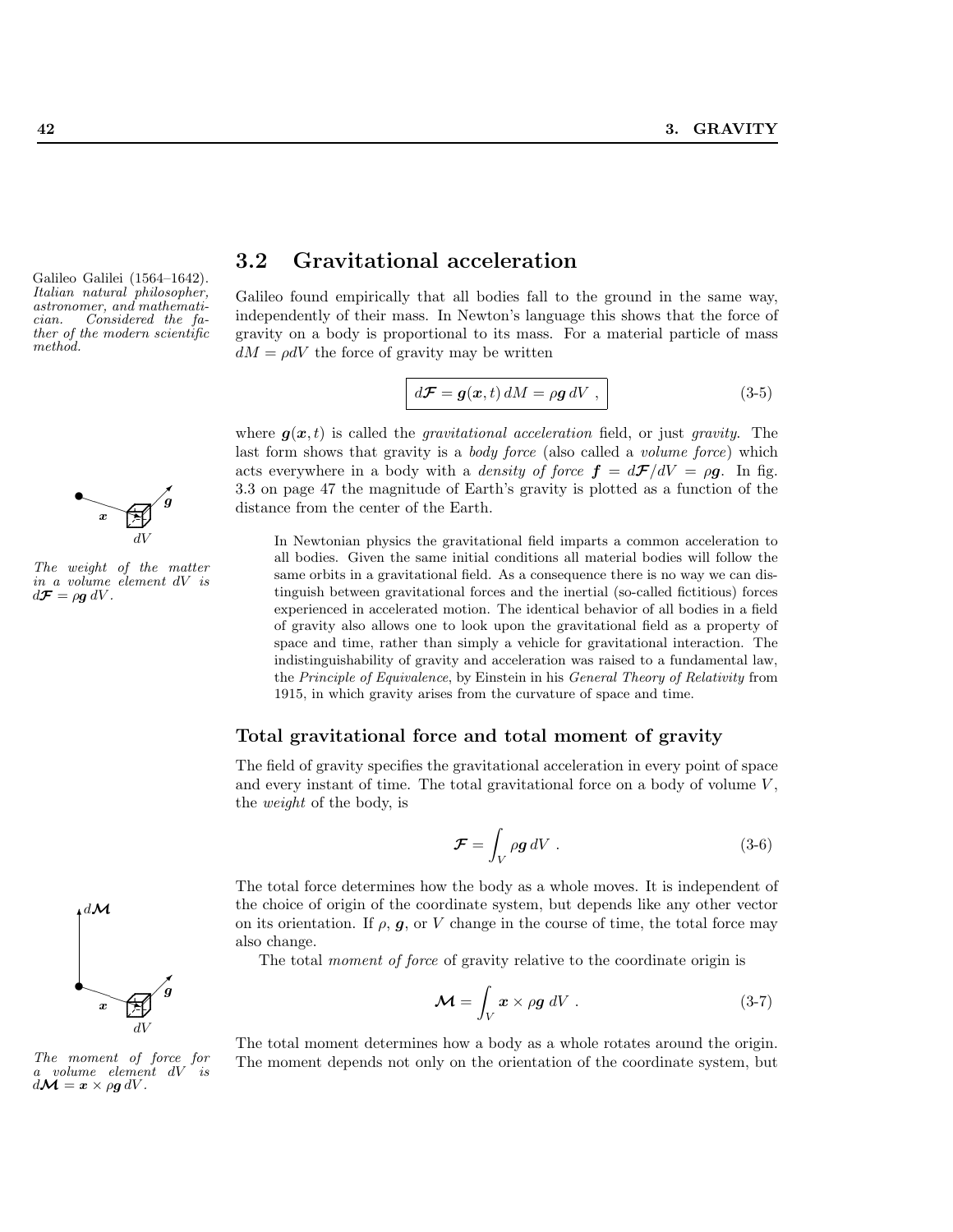Galileo Galilei (1564–1642). Italian natural philosopher, astronomer, and mathematician. Considered the father of the modern scientific method.



The weight of the matter in a volume element dV is  $d\mathcal{F} = \rho \mathbf{g} dV$ .

### 3.2 Gravitational acceleration

Galileo found empirically that all bodies fall to the ground in the same way, independently of their mass. In Newton's language this shows that the force of gravity on a body is proportional to its mass. For a material particle of mass  $dM = \rho dV$  the force of gravity may be written

$$
d\mathcal{F} = \mathbf{g}(\mathbf{x}, t) dM = \rho \mathbf{g} dV , \qquad (3-5)
$$

where  $g(x, t)$  is called the *gravitational acceleration* field, or just *gravity*. The last form shows that gravity is a *body force* (also called a *volume force*) which acts everywhere in a body with a *density of force*  $\mathbf{f} = d\mathbf{F}/dV = \rho \mathbf{g}$ . In fig. 3.3 on page 47 the magnitude of Earth's gravity is plotted as a function of the distance from the center of the Earth.

In Newtonian physics the gravitational field imparts a common acceleration to all bodies. Given the same initial conditions all material bodies will follow the same orbits in a gravitational field. As a consequence there is no way we can distinguish between gravitational forces and the inertial (so-called fictitious) forces experienced in accelerated motion. The identical behavior of all bodies in a field of gravity also allows one to look upon the gravitational field as a property of space and time, rather than simply a vehicle for gravitational interaction. The indistinguishability of gravity and acceleration was raised to a fundamental law, the Principle of Equivalence, by Einstein in his General Theory of Relativity from 1915, in which gravity arises from the curvature of space and time.

#### Total gravitational force and total moment of gravity

The field of gravity specifies the gravitational acceleration in every point of space and every instant of time. The total gravitational force on a body of volume  $V$ , the weight of the body, is

$$
\mathcal{F} = \int_{V} \rho \mathbf{g} \, dV \,. \tag{3-6}
$$

The total force determines how the body as a whole moves. It is independent of the choice of origin of the coordinate system, but depends like any other vector on its orientation. If  $\rho$ ,  $g$ , or V change in the course of time, the total force may also change.

The total moment of force of gravity relative to the coordinate origin is

$$
\mathcal{M} = \int_{V} \mathbf{x} \times \rho \mathbf{g} \, dV \,. \tag{3-7}
$$

The total moment determines how a body as a whole rotates around the origin. The moment depends not only on the orientation of the coordinate system, but



The moment of force for a volume element dV is  $d\mathcal{M} = x \times \rho g dV$ .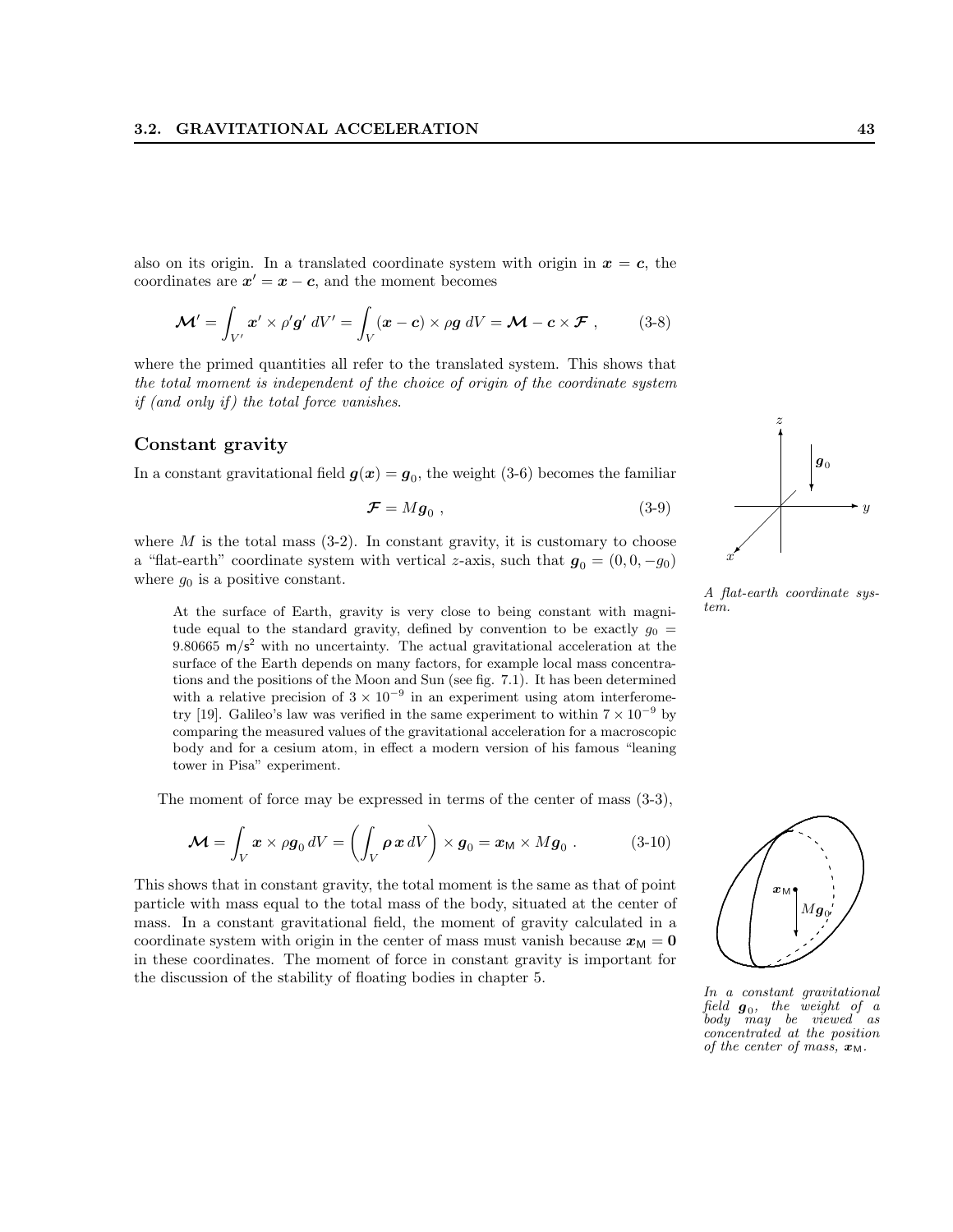also on its origin. In a translated coordinate system with origin in  $x = c$ , the coordinates are  $x' = x - c$ , and the moment becomes

$$
\mathcal{M}' = \int_{V'} x' \times \rho' \mathbf{g}' dV' = \int_{V} (\mathbf{x} - \mathbf{c}) \times \rho \mathbf{g} dV = \mathcal{M} - \mathbf{c} \times \mathcal{F}, \quad (3-8)
$$

where the primed quantities all refer to the translated system. This shows that the total moment is independent of the choice of origin of the coordinate system if (and only if) the total force vanishes.

#### Constant gravity

In a constant gravitational field  $g(x) = g_0$ , the weight (3-6) becomes the familiar

$$
\mathcal{F} = Mg_0 \t{,} \t(3-9)
$$

where  $M$  is the total mass  $(3-2)$ . In constant gravity, it is customary to choose a "flat-earth" coordinate system with vertical z-axis, such that  $g_0 = (0, 0, -g_0)$ where  $g_0$  is a positive constant.

At the surface of Earth, gravity is very close to being constant with magni-<br> $tem.$ tude equal to the standard gravity, defined by convention to be exactly  $g_0 =$ 9.80665  $\text{m/s}^2$  with no uncertainty. The actual gravitational acceleration at the surface of the Earth depends on many factors, for example local mass concentrations and the positions of the Moon and Sun (see fig. 7.1). It has been determined with a relative precision of  $3 \times 10^{-9}$  in an experiment using atom interferometry [19]. Galileo's law was verified in the same experiment to within  $7 \times 10^{-9}$  by comparing the measured values of the gravitational acceleration for a macroscopic body and for a cesium atom, in effect a modern version of his famous "leaning tower in Pisa" experiment.

The moment of force may be expressed in terms of the center of mass (3-3),

$$
\mathcal{M} = \int_{V} \mathbf{x} \times \rho \mathbf{g}_0 dV = \left( \int_{V} \rho \mathbf{x} dV \right) \times \mathbf{g}_0 = \mathbf{x}_M \times M \mathbf{g}_0 \ . \tag{3-10}
$$

This shows that in constant gravity, the total moment is the same as that of point particle with mass equal to the total mass of the body, situated at the center of mass. In a constant gravitational field, the moment of gravity calculated in a coordinate system with origin in the center of mass must vanish because  $x_M = 0$ in these coordinates. The moment of force in constant gravity is important for the discussion of the stability of floating bodies in chapter 5.



A flat-earth coordinate sys-



In a constant gravitational  $\mathit{field}$   $\bm{g}_0$ , the weight of a body may be viewed as concentrated at the position of the center of mass,  $x_M$ .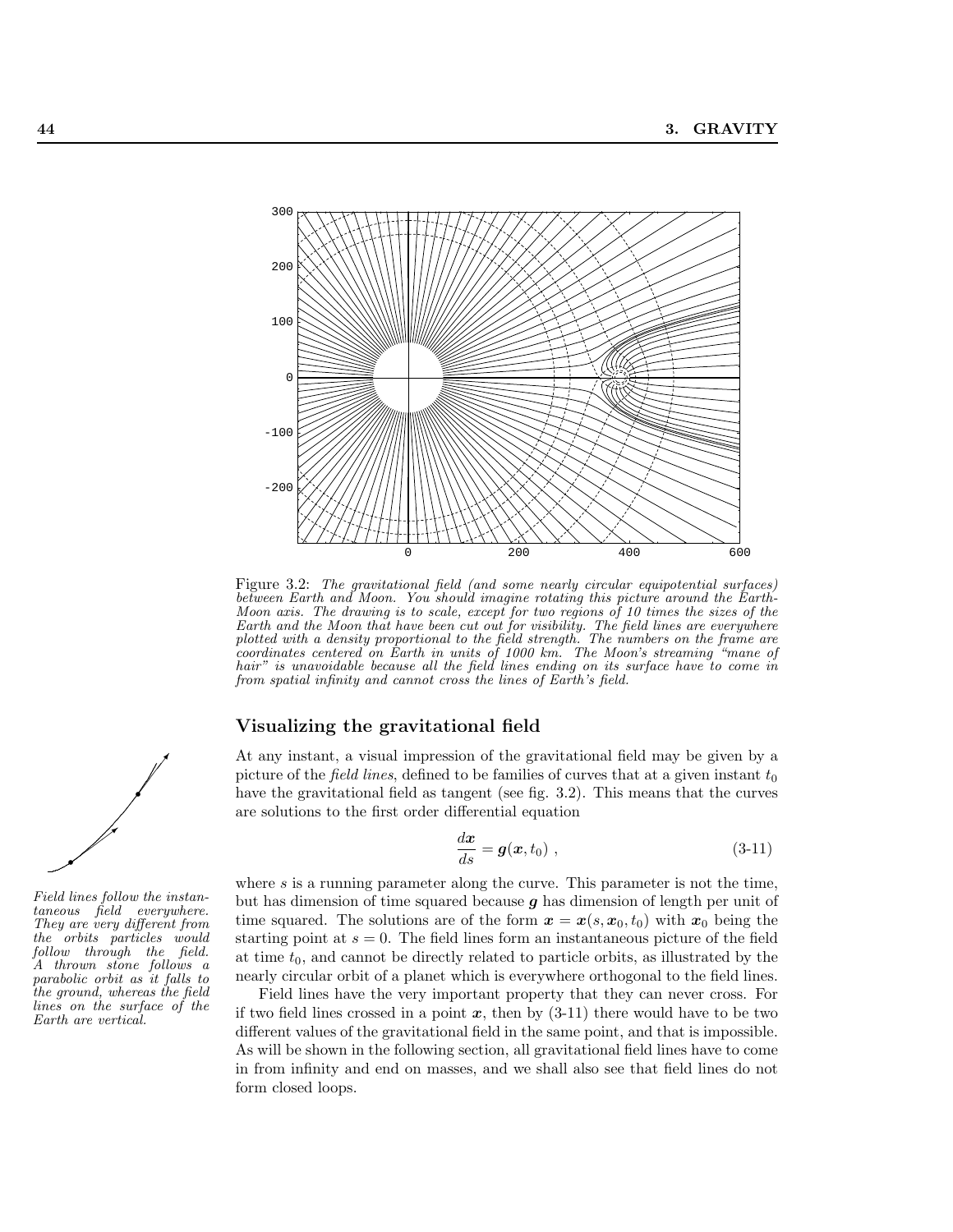

Figure 3.2: The gravitational field (and some nearly circular equipotential surfaces) between Earth and Moon. You should imagine rotating this picture around the Earth-Moon axis. The drawing is to scale, except for two regions of 10 times the sizes of the Earth and the Moon that have been cut out for visibility. The field lines are everywhere plotted with a density proportional to the field strength. The numbers on the frame are coordinates centered on Earth in units of 1000 km. The Moon's streaming "mane of hair" is unavoidable because all the field lines ending on its surface have to come in from spatial infinity and cannot cross the lines of Earth's field.

#### Visualizing the gravitational field

At any instant, a visual impression of the gravitational field may be given by a picture of the *field lines*, defined to be families of curves that at a given instant  $t_0$ have the gravitational field as tangent (see fig. 3.2). This means that the curves are solutions to the first order differential equation

$$
\frac{d\boldsymbol{x}}{ds} = \boldsymbol{g}(\boldsymbol{x}, t_0) \;, \tag{3-11}
$$

where  $s$  is a running parameter along the curve. This parameter is not the time, but has dimension of time squared because  $g$  has dimension of length per unit of time squared. The solutions are of the form  $\mathbf{x} = \mathbf{x}(s, x_0, t_0)$  with  $x_0$  being the starting point at  $s = 0$ . The field lines form an instantaneous picture of the field at time  $t_0$ , and cannot be directly related to particle orbits, as illustrated by the nearly circular orbit of a planet which is everywhere orthogonal to the field lines.

Field lines have the very important property that they can never cross. For if two field lines crossed in a point  $x$ , then by  $(3-11)$  there would have to be two different values of the gravitational field in the same point, and that is impossible. As will be shown in the following section, all gravitational field lines have to come in from infinity and end on masses, and we shall also see that field lines do not form closed loops.



Field lines follow the instantaneous field everywhere. They are very different from the orbits particles would follow through the field. A thrown stone follows a parabolic orbit as it falls to the ground, whereas the field lines on the surface of the Earth are vertical.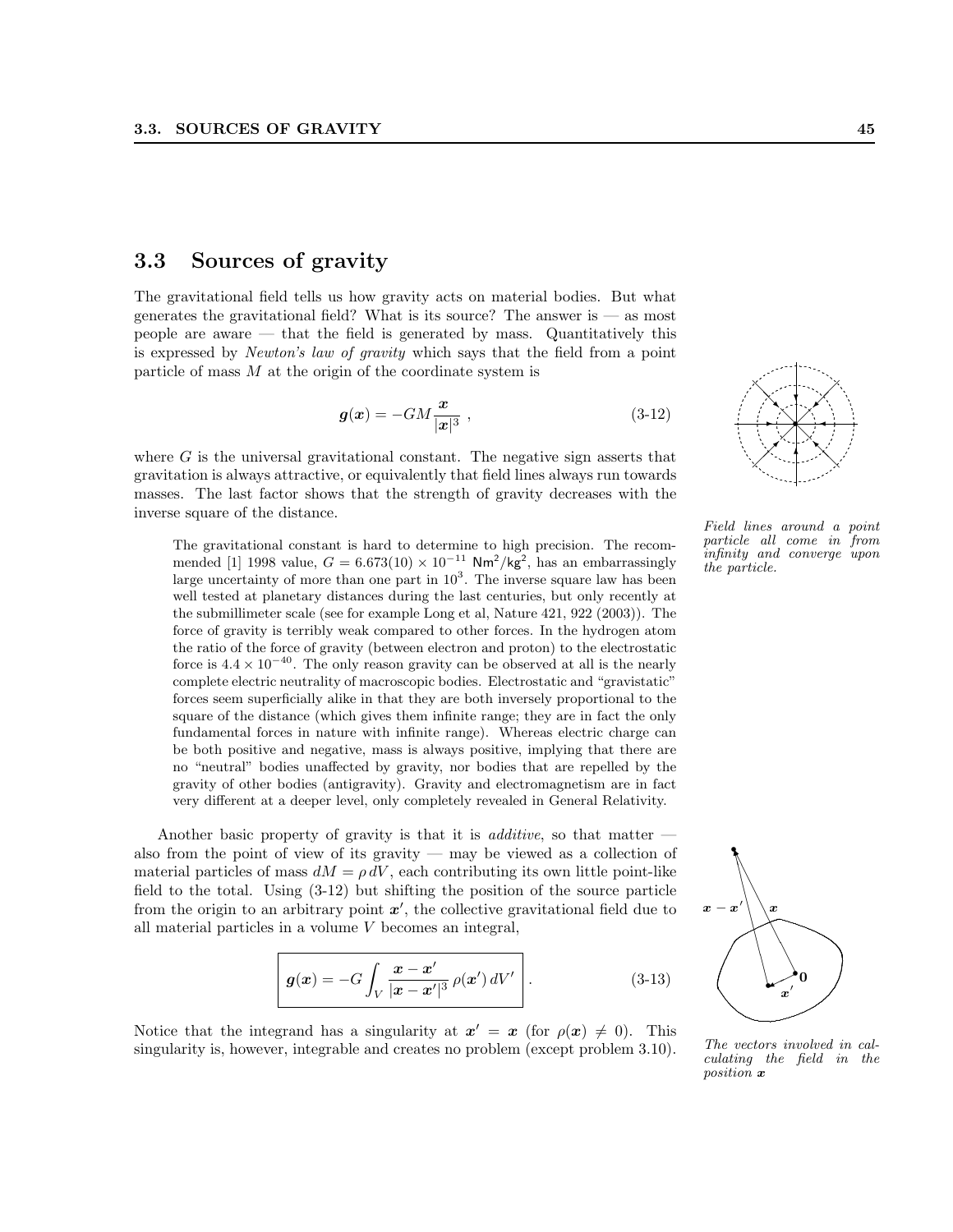## 3.3 Sources of gravity

The gravitational field tells us how gravity acts on material bodies. But what generates the gravitational field? What is its source? The answer is — as most people are aware — that the field is generated by mass. Quantitatively this is expressed by Newton's law of gravity which says that the field from a point particle of mass M at the origin of the coordinate system is

$$
g(x) = -GM\frac{x}{|x|^3},\qquad(3-12)
$$

where  $G$  is the universal gravitational constant. The negative sign asserts that gravitation is always attractive, or equivalently that field lines always run towards masses. The last factor shows that the strength of gravity decreases with the inverse square of the distance.

The gravitational constant is hard to determine to high precision. The recommended [1] 1998 value,  $G = 6.673(10) \times 10^{-11}$  Nm<sup>2</sup>/kg<sup>2</sup>, has an embarrassingly large uncertainty of more than one part in  $10^3$ . The inverse square law has been well tested at planetary distances during the last centuries, but only recently at the submillimeter scale (see for example Long et al, Nature 421, 922 (2003)). The force of gravity is terribly weak compared to other forces. In the hydrogen atom the ratio of the force of gravity (between electron and proton) to the electrostatic force is  $4.4 \times 10^{-40}$ . The only reason gravity can be observed at all is the nearly complete electric neutrality of macroscopic bodies. Electrostatic and "gravistatic" forces seem superficially alike in that they are both inversely proportional to the square of the distance (which gives them infinite range; they are in fact the only fundamental forces in nature with infinite range). Whereas electric charge can be both positive and negative, mass is always positive, implying that there are no "neutral" bodies unaffected by gravity, nor bodies that are repelled by the gravity of other bodies (antigravity). Gravity and electromagnetism are in fact very different at a deeper level, only completely revealed in General Relativity.

Another basic property of gravity is that it is *additive*, so that matter also from the point of view of its gravity — may be viewed as a collection of material particles of mass  $dM = \rho dV$ , each contributing its own little point-like field to the total. Using (3-12) but shifting the position of the source particle from the origin to an arbitrary point  $x'$ , the collective gravitational field due to all material particles in a volume V becomes an integral,

$$
g(x) = -G \int_{V} \frac{x - x'}{|x - x'|^3} \rho(x') dV'.
$$
 (3-13)

Notice that the integrand has a singularity at  $x' = x$  (for  $\rho(x) \neq 0$ ). This singularity is, however, integrable and creates no problem (except problem 3.10).

 $\triangle$ . . .. .. ......... . . . . . . .  $\checkmark$ .......... . . . . . . . .. . . . . . . ... ......... .. . . . . . . . . . . . . . . . .. .  $\sim 1$ . . .. . . . . . . . . . . . . . . . . . . . . .. .. . . . . . . . . . . . . . .. . . . . . . . . . . . . . ..................... . . . . . . . . . . . . . . ✻ ❄  $\rightarrow$  $\searrow$  $\searrow$ ❅■  $\angle$ ¡¡✠ ❅ ❅❅❘  $\lt$ .  $\measuredangle$  $\times$ 

... ..... ......... ....

Field lines around a point particle all come in from infinity and converge upon the particle.



The vectors involved in calculating the field in the position x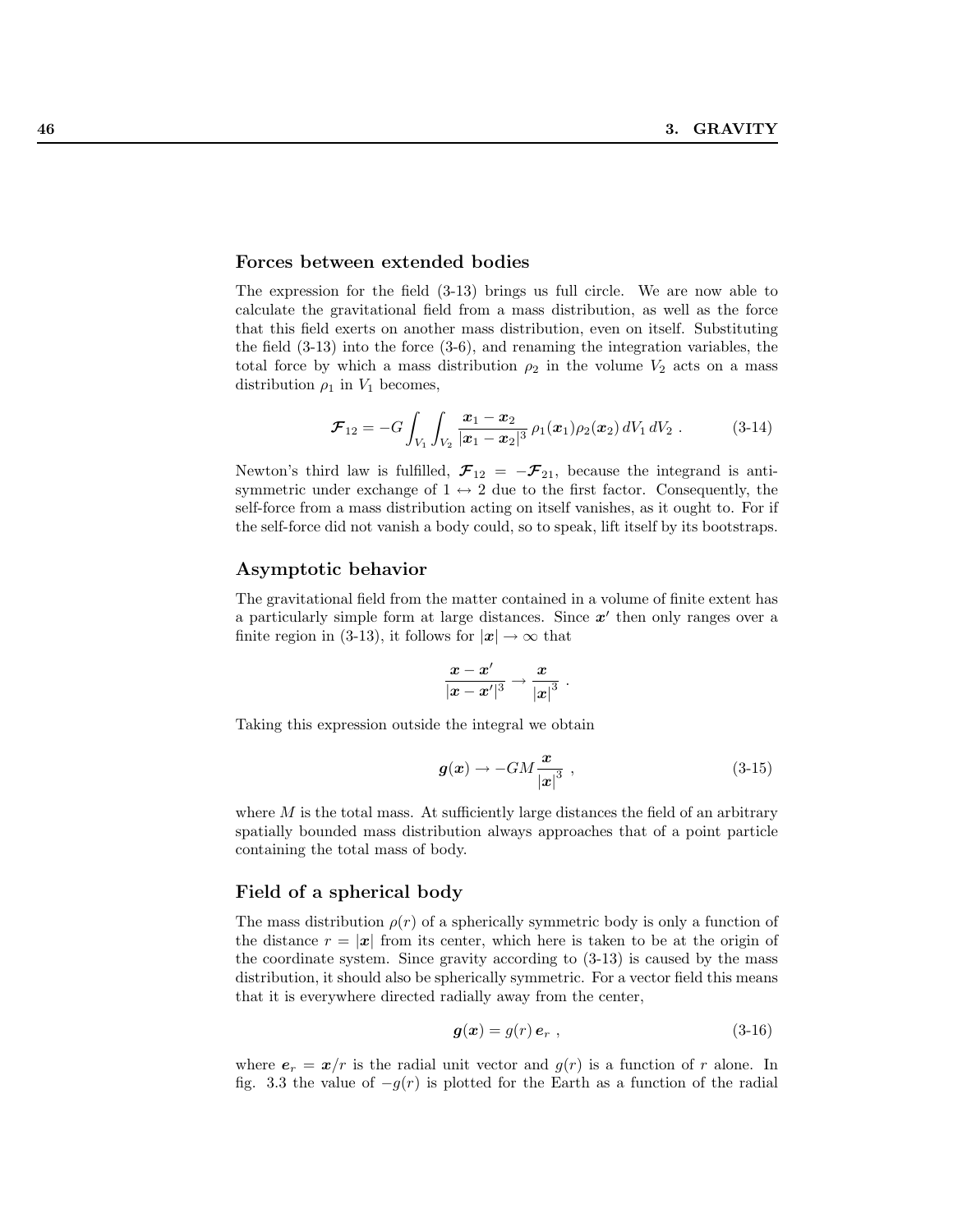#### Forces between extended bodies

The expression for the field (3-13) brings us full circle. We are now able to calculate the gravitational field from a mass distribution, as well as the force that this field exerts on another mass distribution, even on itself. Substituting the field (3-13) into the force (3-6), and renaming the integration variables, the total force by which a mass distribution  $\rho_2$  in the volume  $V_2$  acts on a mass distribution  $\rho_1$  in  $V_1$  becomes,

$$
\mathcal{F}_{12} = -G \int_{V_1} \int_{V_2} \frac{\boldsymbol{x}_1 - \boldsymbol{x}_2}{|\boldsymbol{x}_1 - \boldsymbol{x}_2|^3} \, \rho_1(\boldsymbol{x}_1) \rho_2(\boldsymbol{x}_2) \, dV_1 \, dV_2 \,. \tag{3-14}
$$

Newton's third law is fulfilled,  $\mathcal{F}_{12} = -\mathcal{F}_{21}$ , because the integrand is antisymmetric under exchange of  $1 \leftrightarrow 2$  due to the first factor. Consequently, the self-force from a mass distribution acting on itself vanishes, as it ought to. For if the self-force did not vanish a body could, so to speak, lift itself by its bootstraps.

#### Asymptotic behavior

The gravitational field from the matter contained in a volume of finite extent has a particularly simple form at large distances. Since  $x'$  then only ranges over a finite region in (3-13), it follows for  $|x| \to \infty$  that

$$
\frac{\boldsymbol{x} - \boldsymbol{x}'}{|\boldsymbol{x} - \boldsymbol{x}'|^3} \rightarrow \frac{\boldsymbol{x}}{|\boldsymbol{x}|^3} \ .
$$

Taking this expression outside the integral we obtain

$$
g(x) \to -GM\frac{x}{|x|^3} \,,\tag{3-15}
$$

where  $M$  is the total mass. At sufficiently large distances the field of an arbitrary spatially bounded mass distribution always approaches that of a point particle containing the total mass of body.

#### Field of a spherical body

The mass distribution  $\rho(r)$  of a spherically symmetric body is only a function of the distance  $r = |\mathbf{x}|$  from its center, which here is taken to be at the origin of the coordinate system. Since gravity according to (3-13) is caused by the mass distribution, it should also be spherically symmetric. For a vector field this means that it is everywhere directed radially away from the center,

$$
\mathbf{g}(\mathbf{x}) = g(r) \, \mathbf{e}_r \;, \tag{3-16}
$$

where  $e_r = x/r$  is the radial unit vector and  $g(r)$  is a function of r alone. In fig. 3.3 the value of  $-g(r)$  is plotted for the Earth as a function of the radial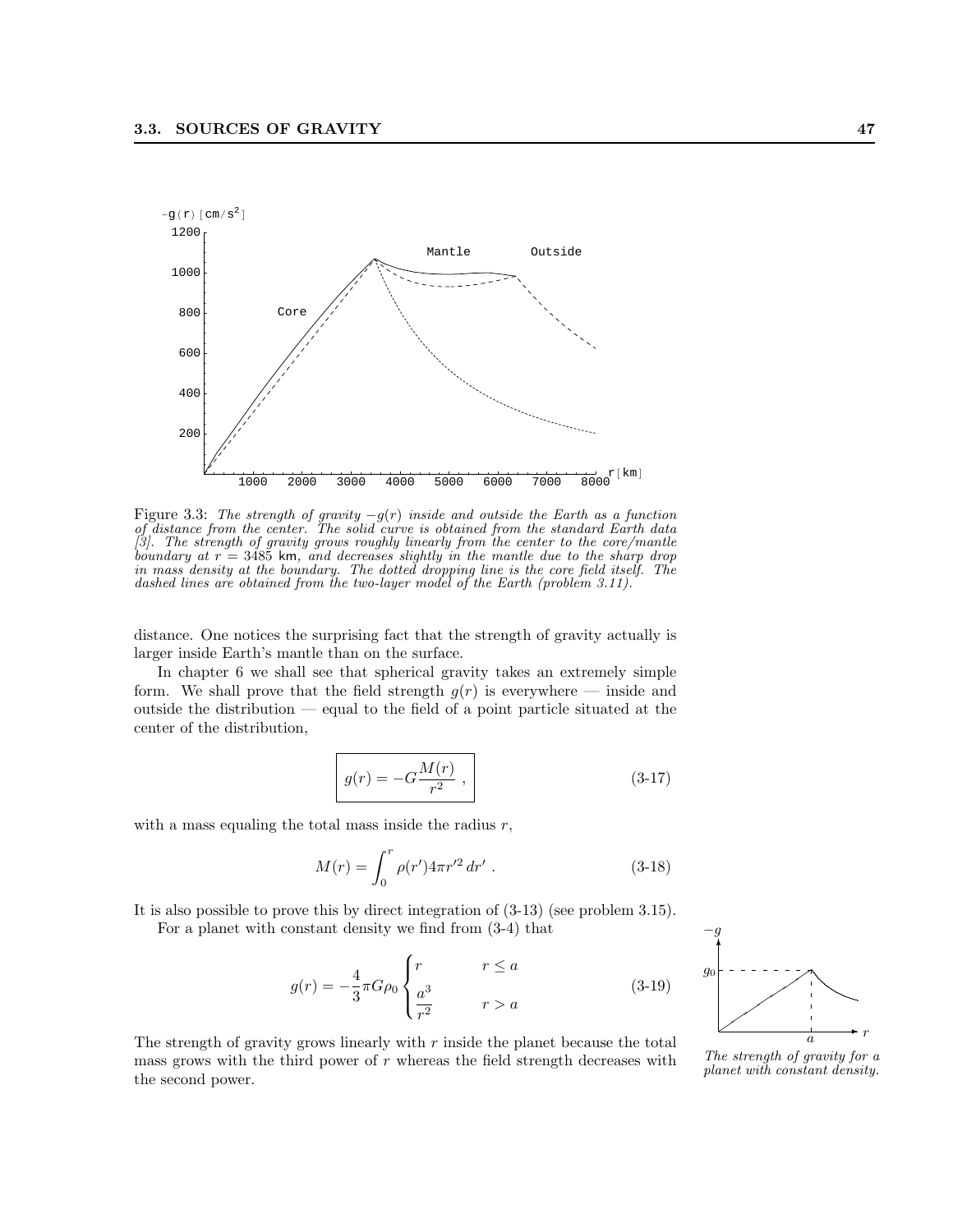

Figure 3.3: The strength of gravity  $-g(r)$  inside and outside the Earth as a function of distance from the center. The solid curve is obtained from the standard Earth data [3]. The strength of gravity grows roughly linearly from the center to the core/mantle boundary at  $r = 3485$  km, and decreases slightly in the mantle due to the sharp drop in mass density at the boundary. The dotted dropping line is the core field itself. The dashed lines are obtained from the two-layer model of the Earth (problem 3.11).

distance. One notices the surprising fact that the strength of gravity actually is larger inside Earth's mantle than on the surface.

In chapter 6 we shall see that spherical gravity takes an extremely simple form. We shall prove that the field strength  $g(r)$  is everywhere — inside and outside the distribution — equal to the field of a point particle situated at the center of the distribution,

$$
g(r) = -G\frac{M(r)}{r^2},
$$
\n(3-17)

with a mass equaling the total mass inside the radius  $r$ ,

$$
M(r) = \int_0^r \rho(r') 4\pi r'^2 \, dr' \ . \tag{3-18}
$$

It is also possible to prove this by direct integration of (3-13) (see problem 3.15).

For a planet with constant density we find from (3-4) that

$$
g(r) = -\frac{4}{3}\pi G\rho_0 \begin{cases} r & r \le a \\ \frac{a^3}{r^2} & r > a \end{cases}
$$
 (3-19)

The strength of gravity grows linearly with  $r$  inside the planet because the total mass grows with the third power of r whereas the field strength decreases with  $\frac{The\ strength\ of\ gravity\ for\ a\ plane\ with\ constant\ density.}$ the second power.



The strength of gravity for a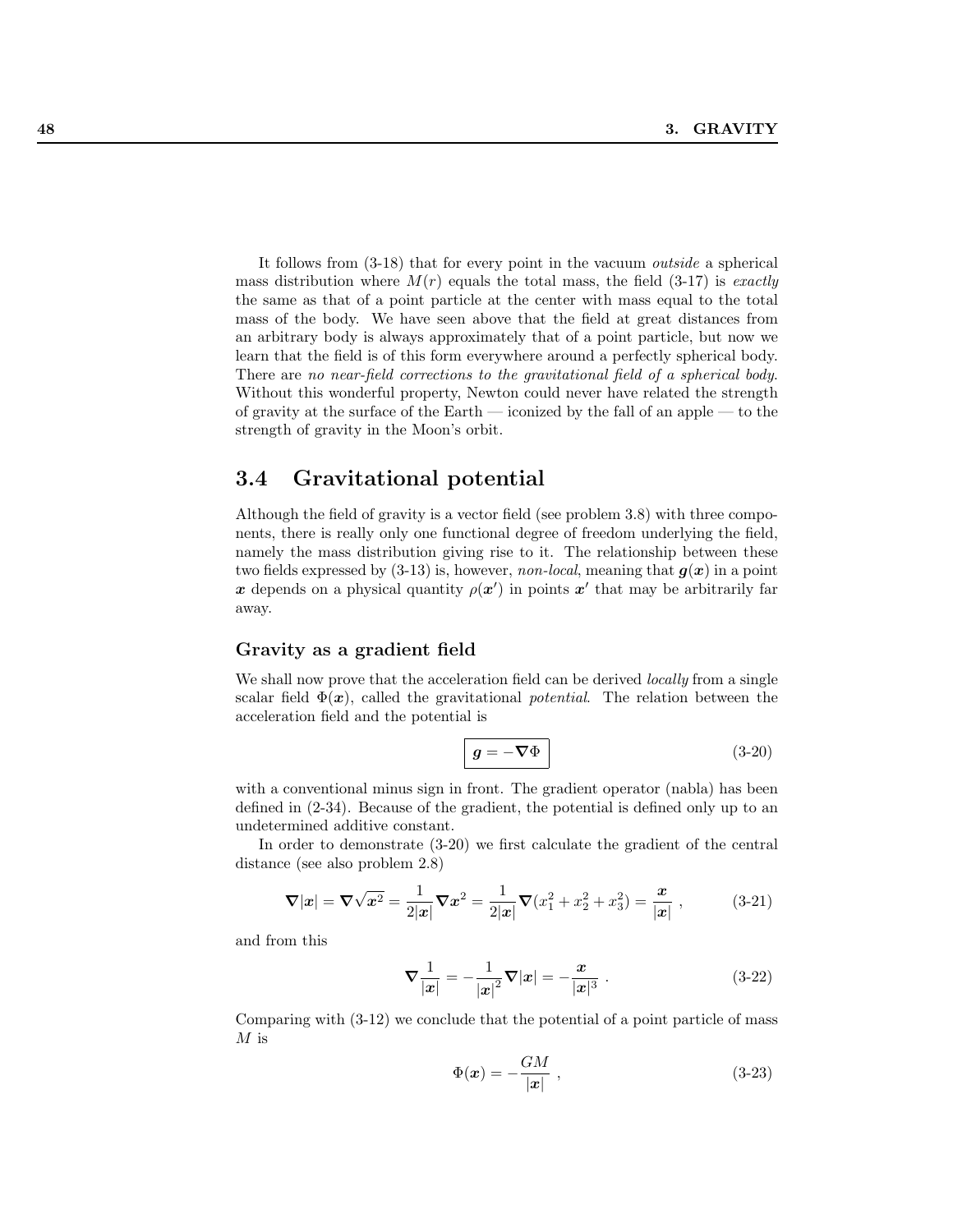It follows from (3-18) that for every point in the vacuum outside a spherical mass distribution where  $M(r)$  equals the total mass, the field (3-17) is exactly the same as that of a point particle at the center with mass equal to the total mass of the body. We have seen above that the field at great distances from an arbitrary body is always approximately that of a point particle, but now we learn that the field is of this form everywhere around a perfectly spherical body. There are no near-field corrections to the gravitational field of a spherical body. Without this wonderful property, Newton could never have related the strength of gravity at the surface of the Earth — iconized by the fall of an apple — to the strength of gravity in the Moon's orbit.

# 3.4 Gravitational potential

Although the field of gravity is a vector field (see problem 3.8) with three components, there is really only one functional degree of freedom underlying the field, namely the mass distribution giving rise to it. The relationship between these two fields expressed by  $(3-13)$  is, however, non-local, meaning that  $q(x)$  in a point x depends on a physical quantity  $\rho(x')$  in points x' that may be arbitrarily far away.

### Gravity as a gradient field

We shall now prove that the acceleration field can be derived *locally* from a single scalar field  $\Phi(x)$ , called the gravitational *potential*. The relation between the acceleration field and the potential is

$$
g = -\nabla\Phi \tag{3-20}
$$

with a conventional minus sign in front. The gradient operator (nabla) has been defined in (2-34). Because of the gradient, the potential is defined only up to an undetermined additive constant.

In order to demonstrate (3-20) we first calculate the gradient of the central distance (see also problem 2.8)

$$
\nabla |x| = \nabla \sqrt{x^2} = \frac{1}{2|x|} \nabla x^2 = \frac{1}{2|x|} \nabla (x_1^2 + x_2^2 + x_3^2) = \frac{x}{|x|},
$$
 (3-21)

and from this

$$
\nabla \frac{1}{|\mathbf{x}|} = -\frac{1}{|\mathbf{x}|^2} \nabla |\mathbf{x}| = -\frac{\mathbf{x}}{|\mathbf{x}|^3} . \tag{3-22}
$$

Comparing with (3-12) we conclude that the potential of a point particle of mass  $M$  is

$$
\Phi(x) = -\frac{GM}{|x|} \t{3.23}
$$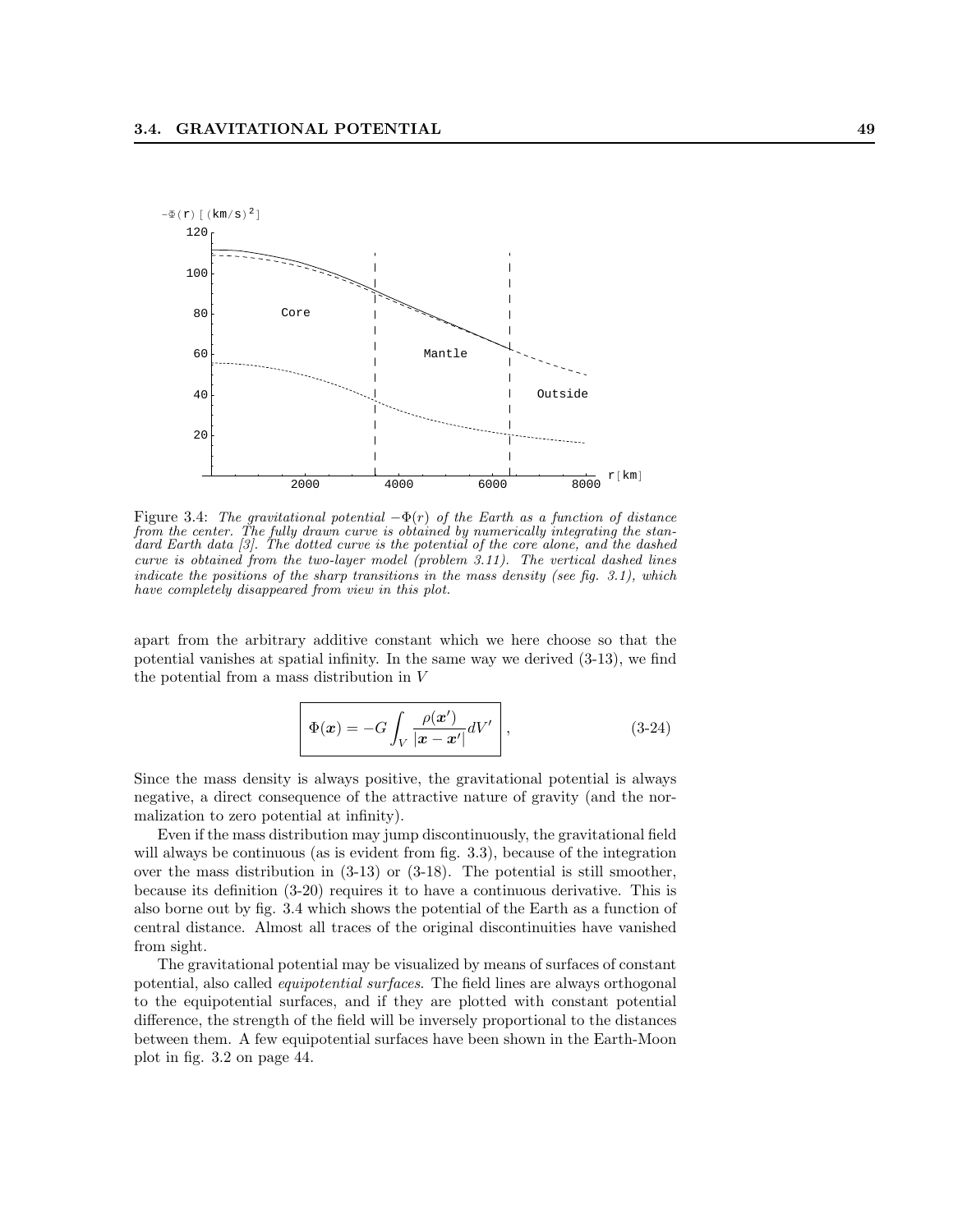

Figure 3.4: The gravitational potential  $-\Phi(r)$  of the Earth as a function of distance from the center. The fully drawn curve is obtained by numerically integrating the standard Earth data [3]. The dotted curve is the potential of the core alone, and the dashed curve is obtained from the two-layer model (problem 3.11). The vertical dashed lines indicate the positions of the sharp transitions in the mass density (see fig. 3.1), which have completely disappeared from view in this plot.

apart from the arbitrary additive constant which we here choose so that the potential vanishes at spatial infinity. In the same way we derived (3-13), we find the potential from a mass distribution in V

$$
\Phi(\mathbf{x}) = -G \int_{V} \frac{\rho(\mathbf{x}')}{|\mathbf{x} - \mathbf{x}'|} dV' \,, \tag{3-24}
$$

Since the mass density is always positive, the gravitational potential is always negative, a direct consequence of the attractive nature of gravity (and the normalization to zero potential at infinity).

Even if the mass distribution may jump discontinuously, the gravitational field will always be continuous (as is evident from fig. 3.3), because of the integration over the mass distribution in (3-13) or (3-18). The potential is still smoother, because its definition (3-20) requires it to have a continuous derivative. This is also borne out by fig. 3.4 which shows the potential of the Earth as a function of central distance. Almost all traces of the original discontinuities have vanished from sight.

The gravitational potential may be visualized by means of surfaces of constant potential, also called equipotential surfaces. The field lines are always orthogonal to the equipotential surfaces, and if they are plotted with constant potential difference, the strength of the field will be inversely proportional to the distances between them. A few equipotential surfaces have been shown in the Earth-Moon plot in fig. 3.2 on page 44.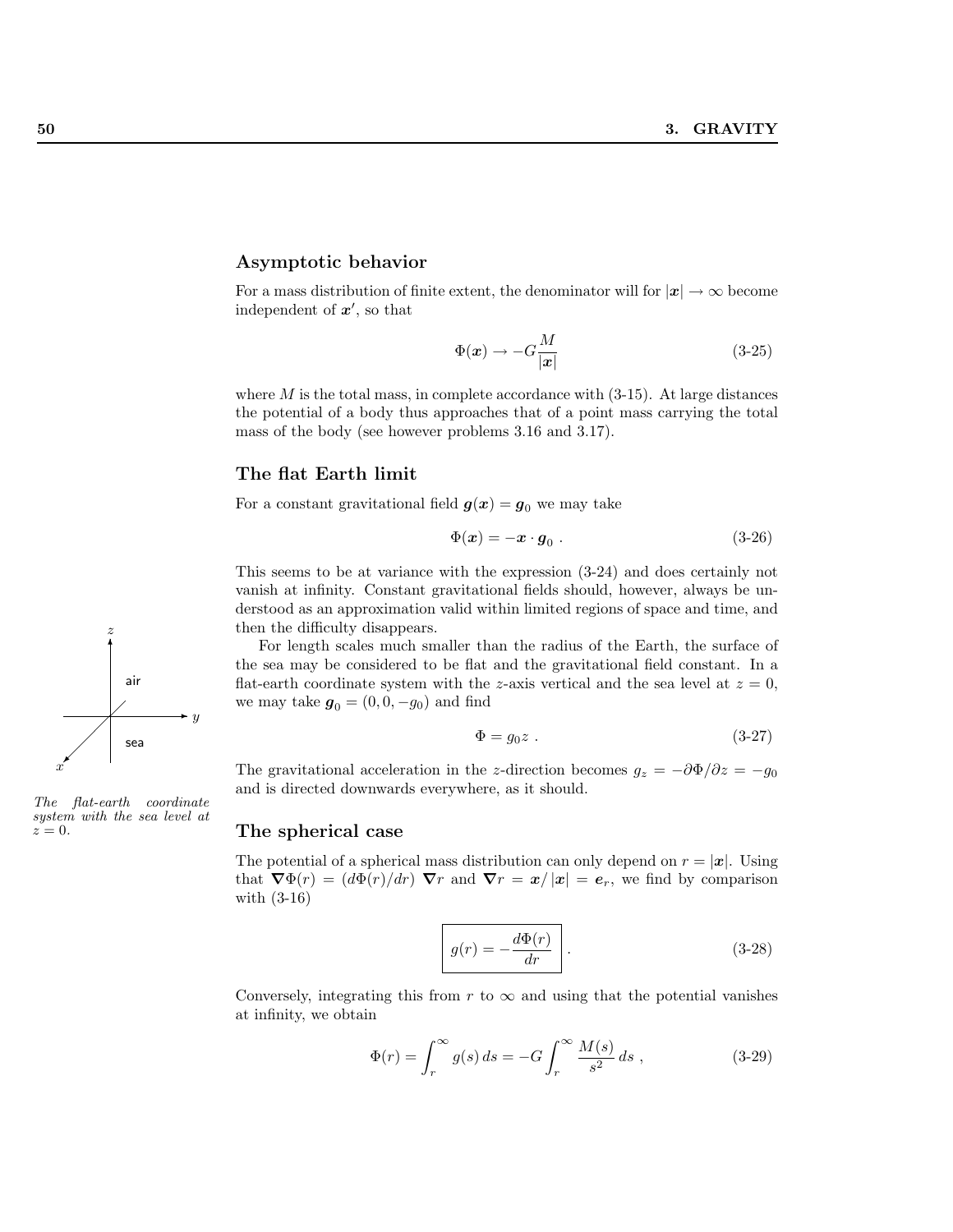#### Asymptotic behavior

For a mass distribution of finite extent, the denominator will for  $|x| \to \infty$  become independent of  $x'$ , so that

$$
\Phi(x) \to -G\frac{M}{|x|} \tag{3-25}
$$

where  $M$  is the total mass, in complete accordance with  $(3-15)$ . At large distances the potential of a body thus approaches that of a point mass carrying the total mass of the body (see however problems 3.16 and 3.17).

#### The flat Earth limit

For a constant gravitational field  $g(x) = g_0$  we may take

$$
\Phi(\mathbf{x}) = -\mathbf{x} \cdot \mathbf{g}_0 \; . \tag{3-26}
$$

This seems to be at variance with the expression (3-24) and does certainly not vanish at infinity. Constant gravitational fields should, however, always be understood as an approximation valid within limited regions of space and time, and then the difficulty disappears.

For length scales much smaller than the radius of the Earth, the surface of the sea may be considered to be flat and the gravitational field constant. In a flat-earth coordinate system with the z-axis vertical and the sea level at  $z = 0$ , we may take  $g_0 = (0, 0, -g_0)$  and find

$$
\Phi = g_0 z \tag{3-27}
$$

The gravitational acceleration in the z-direction becomes  $g_z = -\partial \Phi / \partial z = -g_0$ and is directed downwards everywhere, as it should.

#### The spherical case

The potential of a spherical mass distribution can only depend on  $r = |\mathbf{x}|$ . Using that  $\nabla \Phi(r) = (d\Phi(r)/dr) \nabla r$  and  $\nabla r = x/|x| = e_r$ , we find by comparison with (3-16)

$$
g(r) = -\frac{d\Phi(r)}{dr}.
$$
 (3-28)

Conversely, integrating this from r to  $\infty$  and using that the potential vanishes at infinity, we obtain

$$
\Phi(r) = \int_{r}^{\infty} g(s) ds = -G \int_{r}^{\infty} \frac{M(s)}{s^2} ds , \qquad (3-29)
$$



The flat-earth coordinate system with the sea level at  $z = 0$ .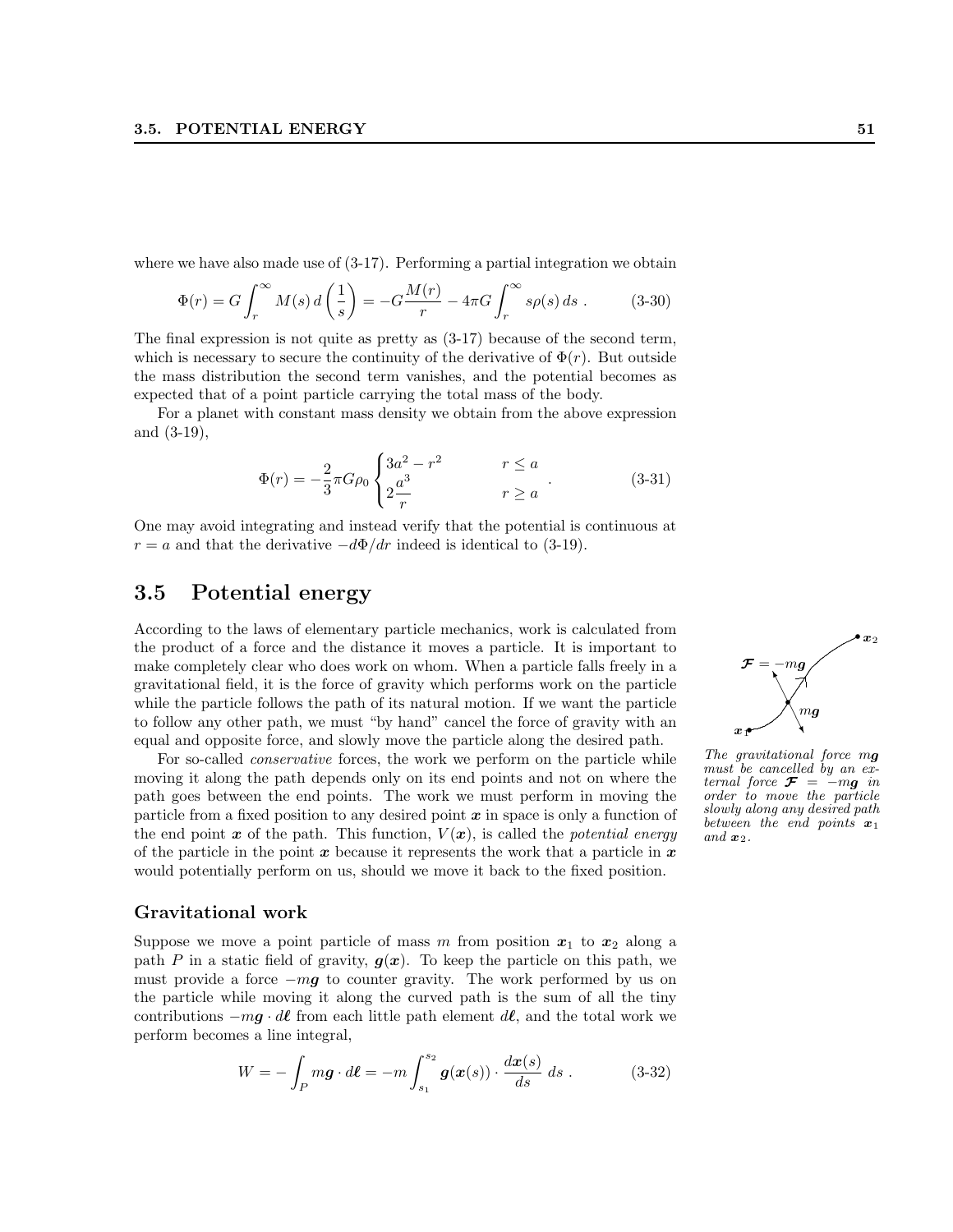where we have also made use of  $(3-17)$ . Performing a partial integration we obtain

$$
\Phi(r) = G \int_r^{\infty} M(s) d\left(\frac{1}{s}\right) = -G \frac{M(r)}{r} - 4\pi G \int_r^{\infty} s\rho(s) ds . \tag{3-30}
$$

The final expression is not quite as pretty as (3-17) because of the second term, which is necessary to secure the continuity of the derivative of  $\Phi(r)$ . But outside the mass distribution the second term vanishes, and the potential becomes as expected that of a point particle carrying the total mass of the body.

For a planet with constant mass density we obtain from the above expression and (3-19),

$$
\Phi(r) = -\frac{2}{3}\pi G \rho_0 \begin{cases} 3a^2 - r^2 & r \le a \\ 2\frac{a^3}{r} & r \ge a \end{cases}
$$
 (3-31)

One may avoid integrating and instead verify that the potential is continuous at  $r = a$  and that the derivative  $-d\Phi/dr$  indeed is identical to (3-19).

# 3.5 Potential energy

According to the laws of elementary particle mechanics, work is calculated from the product of a force and the distance it moves a particle. It is important to make completely clear who does work on whom. When a particle falls freely in a gravitational field, it is the force of gravity which performs work on the particle while the particle follows the path of its natural motion. If we want the particle to follow any other path, we must "by hand" cancel the force of gravity with an equal and opposite force, and slowly move the particle along the desired path.

For so-called conservative forces, the work we perform on the particle while moving it along the path depends only on its end points and not on where the path goes between the end points. The work we must perform in moving the particle from a fixed position to any desired point  $x$  in space is only a function of the end point x of the path. This function,  $V(x)$ , is called the *potential energy* of the particle in the point x because it represents the work that a particle in  $x$ would potentially perform on us, should we move it back to the fixed position.

#### Gravitational work

Suppose we move a point particle of mass m from position  $x_1$  to  $x_2$  along a path P in a static field of gravity,  $g(x)$ . To keep the particle on this path, we must provide a force  $-mg$  to counter gravity. The work performed by us on the particle while moving it along the curved path is the sum of all the tiny contributions  $-mg \cdot d\ell$  from each little path element  $d\ell$ , and the total work we perform becomes a line integral,

$$
W = -\int_{P} m\mathbf{g} \cdot d\mathbf{\ell} = -m \int_{s_1}^{s_2} \mathbf{g}(\mathbf{x}(s)) \cdot \frac{d\mathbf{x}(s)}{ds} ds . \qquad (3-32)
$$



The gravitational force mg must be cancelled by an external force  $\boldsymbol{\mathcal{F}}\ =\ -mg\ \ in$ order to move the particle slowly along any desired path between the end points  $x_1$ and  $x_2$ .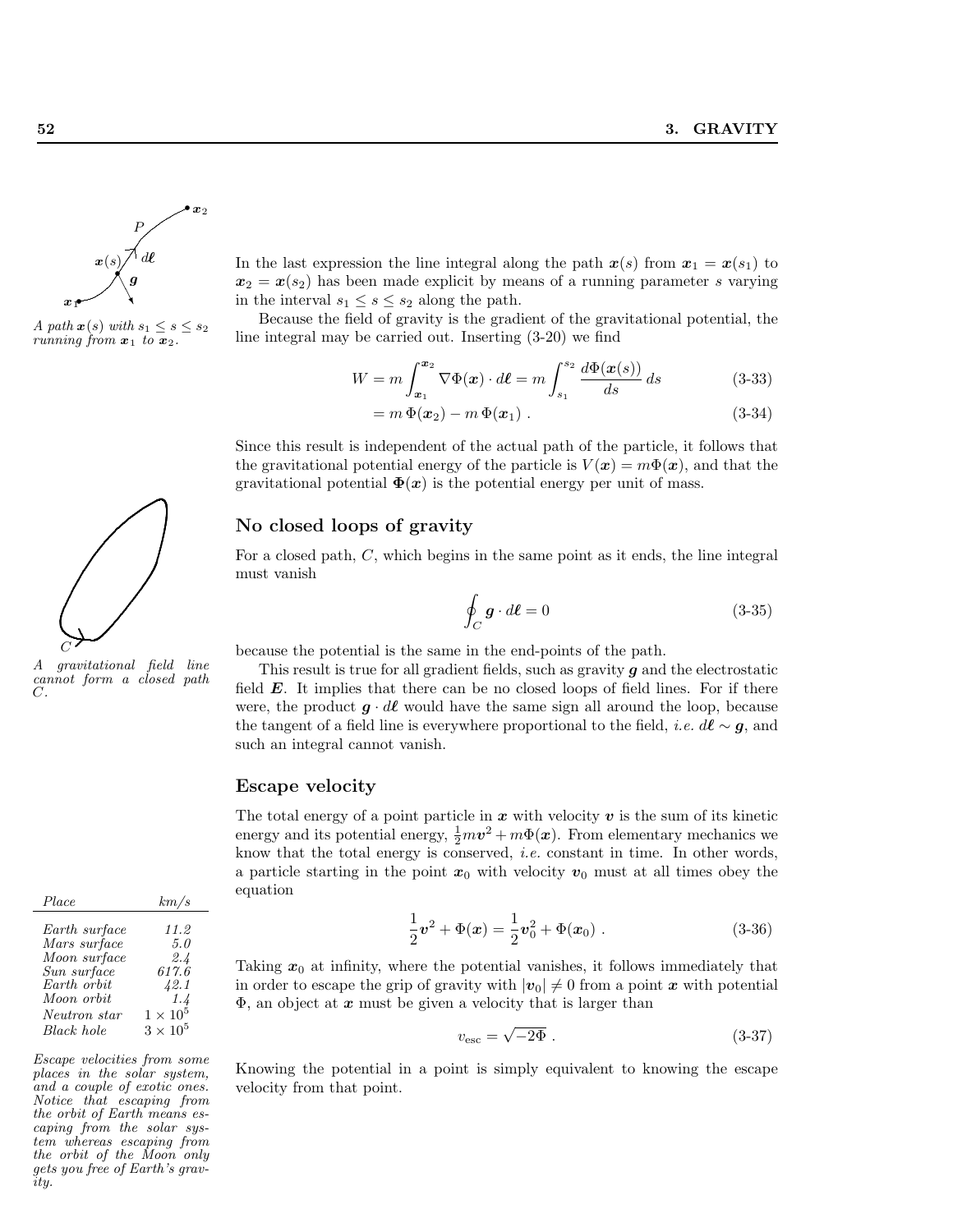

A path  $x(s)$  with  $s_1 \leq s \leq s_2$ running from  $x_1$  to  $x_2$ .



A gravitational field line cannot form a closed path  $C$ .

| Place             | km/s            |
|-------------------|-----------------|
|                   |                 |
| Earth surface     | 11.2            |
| Mars surface      | 5.0             |
| Moon surface      | 2.4             |
| Sun surface       | 617.6           |
| Earth orbit       | 42.1            |
| Moon orbit        | 1.4             |
| Neutron star      | $1 \times 10^5$ |
| <b>Black</b> hole | $3 \times 10^5$ |

Escape velocities from some places in the solar system, and a couple of exotic ones. Notice that escaping from the orbit of Earth means escaping from the solar system whereas escaping from the orbit of the Moon only gets you free of Earth's gravity.

In the last expression the line integral along the path  $x(s)$  from  $x_1 = x(s_1)$  to  $x_2 = x(s_2)$  has been made explicit by means of a running parameter s varying in the interval  $s_1 \leq s \leq s_2$  along the path.

Because the field of gravity is the gradient of the gravitational potential, the line integral may be carried out. Inserting (3-20) we find

$$
W = m \int_{\mathbf{x}_1}^{\mathbf{x}_2} \nabla \Phi(\mathbf{x}) \cdot d\mathbf{\ell} = m \int_{s_1}^{s_2} \frac{d\Phi(\mathbf{x}(s))}{ds} ds \qquad (3-33)
$$

$$
= m \Phi(\boldsymbol{x}_2) - m \Phi(\boldsymbol{x}_1) . \qquad (3-34)
$$

Since this result is independent of the actual path of the particle, it follows that the gravitational potential energy of the particle is  $V(\mathbf{x}) = m\Phi(\mathbf{x})$ , and that the gravitational potential  $\Phi(x)$  is the potential energy per unit of mass.

#### No closed loops of gravity

For a closed path, C, which begins in the same point as it ends, the line integral must vanish

$$
\oint_C \mathbf{g} \cdot d\mathbf{\ell} = 0 \tag{3-35}
$$

because the potential is the same in the end-points of the path.

This result is true for all gradient fields, such as gravity  $q$  and the electrostatic field  $E$ . It implies that there can be no closed loops of field lines. For if there were, the product  $g \cdot d\ell$  would have the same sign all around the loop, because the tangent of a field line is everywhere proportional to the field, *i.e.*  $d\ell \sim g$ , and such an integral cannot vanish.

#### Escape velocity

The total energy of a point particle in  $x$  with velocity  $v$  is the sum of its kinetic energy and its potential energy,  $\frac{1}{2}mv^2 + m\Phi(x)$ . From elementary mechanics we know that the total energy is conserved, *i.e.* constant in time. In other words, a particle starting in the point  $x_0$  with velocity  $v_0$  must at all times obey the equation

$$
\frac{1}{2}v^2 + \Phi(x) = \frac{1}{2}v_0^2 + \Phi(x_0) .
$$
 (3-36)

Taking  $x_0$  at infinity, where the potential vanishes, it follows immediately that in order to escape the grip of gravity with  $|v_0| \neq 0$  from a point x with potential  $\Phi$ , an object at x must be given a velocity that is larger than

$$
v_{\rm esc} = \sqrt{-2\Phi} \ . \tag{3-37}
$$

Knowing the potential in a point is simply equivalent to knowing the escape velocity from that point.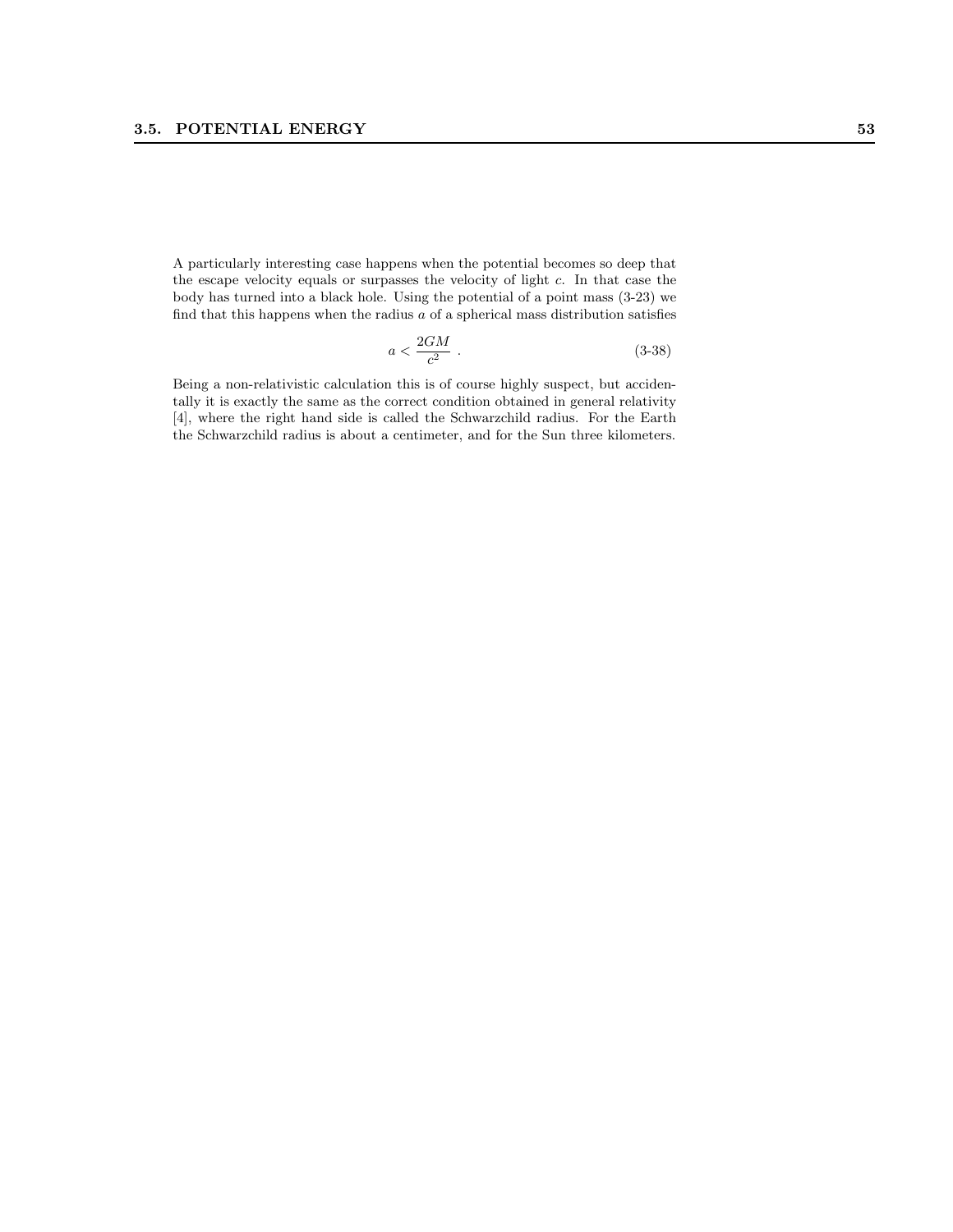A particularly interesting case happens when the potential becomes so deep that the escape velocity equals or surpasses the velocity of light c. In that case the body has turned into a black hole. Using the potential of a point mass (3-23) we find that this happens when the radius  $a$  of a spherical mass distribution satisfies

$$
a<\frac{2GM}{c^2}\ . \eqno(3-38)
$$

Being a non-relativistic calculation this is of course highly suspect, but accidentally it is exactly the same as the correct condition obtained in general relativity [4], where the right hand side is called the Schwarzchild radius. For the Earth the Schwarzchild radius is about a centimeter, and for the Sun three kilometers.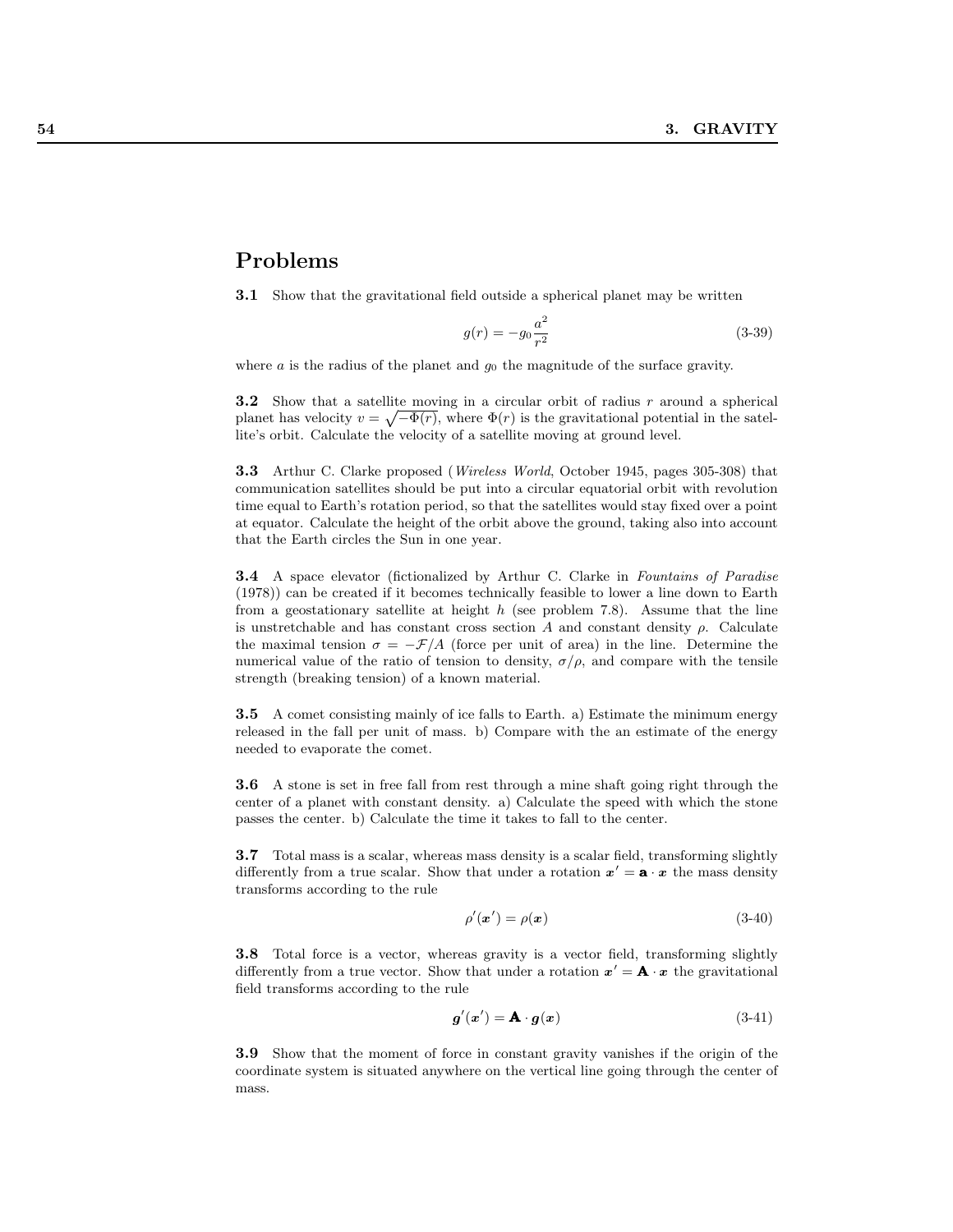# Problems

**3.1** Show that the gravitational field outside a spherical planet may be written

$$
g(r) = -g_0 \frac{a^2}{r^2}
$$
 (3-39)

where  $\alpha$  is the radius of the planet and  $q_0$  the magnitude of the surface gravity.

**3.2** Show that a satellite moving in a circular orbit of radius  $r$  around a spherical planet has velocity  $v = \sqrt{-\Phi(r)}$ , where  $\Phi(r)$  is the gravitational potential in the satellite's orbit. Calculate the velocity of a satellite moving at ground level.

3.3 Arthur C. Clarke proposed (Wireless World, October 1945, pages 305-308) that communication satellites should be put into a circular equatorial orbit with revolution time equal to Earth's rotation period, so that the satellites would stay fixed over a point at equator. Calculate the height of the orbit above the ground, taking also into account that the Earth circles the Sun in one year.

**3.4** A space elevator (fictionalized by Arthur C. Clarke in Fountains of Paradise (1978)) can be created if it becomes technically feasible to lower a line down to Earth from a geostationary satellite at height  $h$  (see problem 7.8). Assume that the line is unstretchable and has constant cross section A and constant density  $\rho$ . Calculate the maximal tension  $\sigma = -\mathcal{F}/A$  (force per unit of area) in the line. Determine the numerical value of the ratio of tension to density,  $\sigma/\rho$ , and compare with the tensile strength (breaking tension) of a known material.

3.5 A comet consisting mainly of ice falls to Earth. a) Estimate the minimum energy released in the fall per unit of mass. b) Compare with the an estimate of the energy needed to evaporate the comet.

3.6 A stone is set in free fall from rest through a mine shaft going right through the center of a planet with constant density. a) Calculate the speed with which the stone passes the center. b) Calculate the time it takes to fall to the center.

3.7 Total mass is a scalar, whereas mass density is a scalar field, transforming slightly differently from a true scalar. Show that under a rotation  $x' = \mathbf{a} \cdot x$  the mass density transforms according to the rule

$$
\rho'(\mathbf{x}') = \rho(\mathbf{x})\tag{3-40}
$$

3.8 Total force is a vector, whereas gravity is a vector field, transforming slightly differently from a true vector. Show that under a rotation  $x' = \mathbf{A} \cdot x$  the gravitational field transforms according to the rule

$$
g'(x') = \mathbf{A} \cdot g(x) \tag{3-41}
$$

3.9 Show that the moment of force in constant gravity vanishes if the origin of the coordinate system is situated anywhere on the vertical line going through the center of mass.